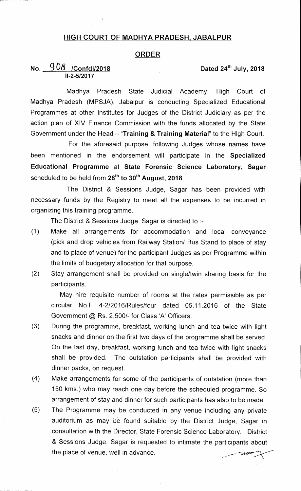### **HIGH COURT OF MADHYA PRADESH, JABALPUR**

### **ORDER**

## No.  $908$  /Confdl/2018 Dated 24<sup>th</sup> July, 2018 **11-2-5/2017**

**Madhya Pradesh State Judicial Academy, High Court of Madhya Pradesh (MPSJA), Jabalpur is conducting Specialized Educational Programmes at other Institutes for Judges of the District Judiciary as per the action plan of XIV Finance Commission with the funds allocated by the State**  Government under the Head - "Training & Training Material" to the High Court.

**For the aforesaid purpose, following Judges whose names have been mentioned in the endorsement will participate in the Specialized Educational Programme at State Forensic Science Laboratory, Sagar**  scheduled to be held from 28<sup>th</sup> to 30<sup>th</sup> August, 2018.

**The District & Sessions Judge, Sagar has been provided with necessary funds by the Registry to meet all the expenses to be incurred in organizing this training programme.** 

**The District & Sessions Judge, Sagar is directed to :-** 

- **(1) Make all arrangements for accommodation and local conveyance (pick and drop vehicles from Railway Station/ Bus Stand to place of stay and to place of venue) for the participant Judges as per Programme within the limits of budgetary allocation for that purpose.**
- **(2) Stay arrangement shall be provided on single/twin sharing basis for the participants.**

**May hire requisite number of rooms at the rates permissible as per circular No.F 4-2/2016/Rules/four dated 05.11.2016 of the State Government © Rs. 2,500/- for Class 'A' Officers.** 

- **(3) During the programme, breakfast, working lunch and tea twice with light snacks and dinner on the first two days of the programme shall be served. On the last day, breakfast, working lunch and tea twice with light snacks shall be provided. The outstation participants shall be provided with dinner packs, on request.**
- **(4) Make arrangements for some of the participants of outstation (more than 150 kms.) who may reach one day before the scheduled programme. So arrangement of stay and dinner for such participants has also to be made.**
- **(5) The Programme may be conducted in any venue including any private auditorium as may be found suitable by the District Judge, Sagar in consultation with the** Director, **State Forensic Science Laboratory. District & Sessions Judge, Sagar is requested to intimate the participants about the place of venue, well in advance.**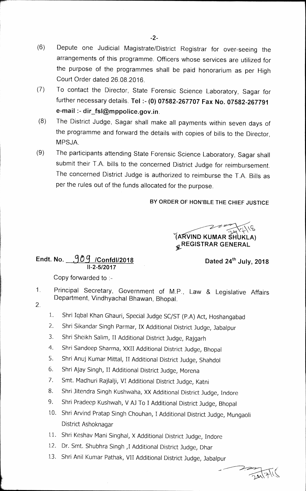- (6) Depute one Judicial Magistrate/District Registrar for over-seeing the arrangements of this programme. Officers whose services are utilized for the purpose of the programmes shall be paid honorarium as per High Court Order dated 26.08.2016.
- (7) To contact the Director, State Forensic Science Laboratory, Sagar for further necessary details. **Tel :- (0) 07582-267707 Fax No. 07582-267791 e-mail :- dir\_fsl@mppolice.gov.in.**
- (8) The District Judge, Sagar shall make all payments within seven days of the programme and forward the details with copies of bills to the Director, MPSJA.
- (9) The participants attending State Forensic Science Laboratory, Sagar shall submit their T.A. bills to the concerned District Judge for reimbursement. The concerned District Judge is authorized to reimburse the T.A. Bills as per the rules out of the funds allocated for the purpose.

### **BY ORDER OF HON'BLE THE CHIEF JUSTICE**

**IA VIND KUMAR S'IAJKLA) "REGISTRAR GENERAL** 

# Endt. No. 909 /Confdl/2018 **Dated 24<sup>th</sup> July, 2018 11-2-5/2017**

Copy forwarded to :-

- 1. Principal Secretary, Government of M.P., Law & Legislative Affairs Department, Vindhyachal Bhawan, Bhopal.  $\overline{2}$ 
	- 1. Shri Iqbal Khan Ghauri, Special Judge SC/ST (P.A) Act, Hoshangabad
	- 2. Shri Sikandar Singh Parmar, IX Additional District Judge, Jabalpur
	- 3. Shri Sheikh Salim, II Additional District Judge, Rajgarh
	- 4. Shri Sandeep Sharma, XXII Additional District Judge, Bhopal
	- 5. Shri Anuj Kumar Mittal, II Additional District Judge, Shahdol
	- 6. Shri Ajay Singh, II Additional District Judge, Morena
	- 7. Smt. Madhuri Rajlaiji, VI Additional District Judge, Katni
	- 8. Shri Jitendra Singh Kushwaha, XX Additional District Judge, Indore
	- 9. Shri Pradeep Kushwah, V AJ To I Additional District Judge, Bhopal
	- 10. Shri Arvind Pratap Singh Chouhan, I Additional District Judge, Mungaoli District Ashoknagar
	- 11. Shri Keshav Mani Singhal, X Additional District Judge, Indore
	- 12. Dr. Smt. Shubhra Singh ,I Additional District Judge, Dhar
	- 13. Shri Anil Kurnar Pathak, VII Additional District Judge, Jabalpur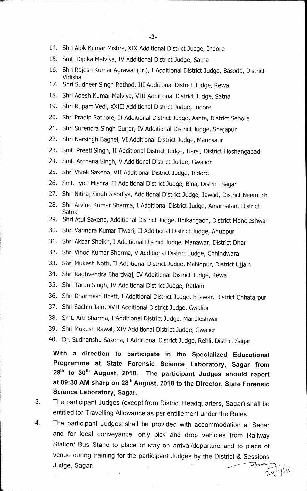- 14. Shri Alok Kumar Mishra, XIX Additional District Judge, Indore
- 15. Smt. Dipika Malviya, IV Additional District judge, Satna
- 16. Shri Rajesh Kumar Agrawal (Jr.), I Additional District Judge, Basoda, District Vidisha
- 17. Shri Sudheer Singh Rathod, III Additional District Judge, Rewa
- 18. Shri Adesh Kumar Malviya, VIII Additional District Judge, Satna
- 19. Shri Rupam Vedi, XXIII Additional District Judge, Indore
- 20. Shri Pradip Rathore, II Additional District Judge, Ashta, District Sehore
- 21. Shri Surendra Singh Gurjar, IV Additional District Judge, Shajapur
- 22. Shri Narsingh Baghel, VI Additional District Judge, Mandsaur
- 23. Smt. Preeti Singh, II Additional District Judge, Itarsi, District Hoshangabad
- 24. Smt. Archana Singh, V Additional District Judge, Gwalior
- 25. Shri Vivek Saxena, VII Additional District Judge, Indore
- 26. Smt. Jyoti Mishra, II Additional District Judge, Bina, District Sagar
- 27. Shri Nitiraj Singh Sisodiya, Additional District Judge, Jawad, District Neemuch
- 28. Shri Arvind Kumar Sharma, I Additional District Judge, Amarpatan, District Satna
- 29. Shri Atul Saxena, Additional District Judge, Bhikangaon, District Mandieshwar
- 30. Shri Varindra Kumar Tiwari, II Additional District Judge, Anuppur
- 31. Shri Akbar Sheikh, I Additional District Judge, Manawar, District Dhar
- 32. Shri Vinod Kumar Sharma, V Additional District Judge, Chhindwara
- 33. Shri Mukesh Nath, II Additional District Judge, Mahidpur, District Ujjain
- 34. Shri Raghvendra Bhardwaj, IV Additional District Judge, Rewa
- 35. Shri Tarun Singh, IV Additional District Judge, Ratlam
- 36. Shri Dharmesh Bhatt, I Additional District Judge, Bijawar, District Chhatarpur
- 37. Shri Sachin Jain, XVII Additional District judge, Gwalior
- 38. Smt. Arti Sharma, I Additional District Judge, Mandleshwar
- 39. Shri Mukesh Rawat, XIV Additional District Judge, Gwalior
- 40. Dr. Sudhanshu Saxena, I Additional District Judge, Rehli, District Sagar

**With a direction to participate in the Specialized Educational**  Programme at State Forensic Science Laboratory, Sagar from 28<sup>th</sup> to 30<sup>th</sup> August, 2018. The participant Judges should report **at 09:30 AM sharp on 28th August, 2018 to the Director, State Forensic Science Laboratory, Sagar.** 

- **3 The participant Judges (except from District Headquarters, Sagar) shall be entitled for Travelling Allowance as per entitlement under the Rules.**
- **4 The participant Judges shall be provided with accommodation at Sagar and for local conveyance, only pick and drop vehicles from Railway Station/ Bus Stand to place of. stay on arrival/departure and to place of venue during training for the participant Judges by the District & Sessions Judge, Sagar.**

 $2141\%$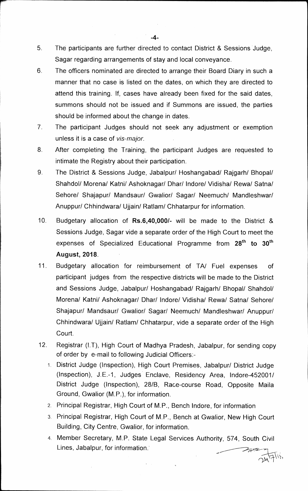- **5. The participants are further directed to contact District & Sessions Judge, Sagar regarding arrangements of stay arid local conveyance.**
- **6 The officers nominated are directed to arrange their Board Diary in such a manner that no case is listed on the dates, on which they are directed to attend this training. If, cases have already been fixed for the said dates, summons should not be issued and if Summons are issued, the parties should be informed about the change in dates.**
- **7. The participant Judges should not seek any adjustment or exemption unless it is a case of** *vis-major.*
- **8 After completing the Training, the participant Judges are requested to intimate the Registry about their participation.**
- **9 The District & Sessions Judge, Jabalpur/ Hoshangabad/ Rajgarh/ Bhopal/ Shahdol/ Morena/ Katni/ Ashoknagar/ Dhar/ Indore/ Vidisha/ Rewa/ Satna/ Sehore/ Shajapur/ Mandsaur/ Gwalior/ Sagar/ Neemuch/ Mandleshwar/ Anuppur/ Chhindwara/ Ujjain/ Ratlam/ Chhatarpur for information.**
- **10. Budgetary allocation of Rs.6,40,000/- will be made to the District & Sessions Judge, Sagar vide a separate order of the High Court to meet the**  expenses of Specialized Educational Programme from 28<sup>th</sup> to 30<sup>th</sup> **August, 2018.**
- **11. Budgetary allocation for reimbursement of TN Fuel expenses of participant judges from the respective districts will be made to the District and Sessions Judge, Jabalpur/ Hoshangabad/ Rajgarh/ Bhopal/ Shahdol/ Morena/ Katni/ Ashoknagar/ Dhar/ Indore/ Vidisha/ Rewa/ Satna/ Sehore/ Shajapur/ Mandsaur/ Gwalior/ Sagar/ Neemuch/ Mandleshwar/ Anuppuri Chhindwara/ Ujjain/ Ratiam/ Chhatarpur, vide a separate order of the High Court.**
- **12. Registrar (1.T), High Court of Madhya Pradesh, Jabalpur, for sending copy of order by e-mail to following Judicial Officers:-** 
	- **1. District Judge (Inspection), High Court Premises, Jabalpur/ District Judge**  (Inspection), J.E.-1, Judges Enclave, Residency Area, Indore-452001/ **District Judge (Inspection), 28/B, Race-course Road, Opposite Maila Ground, Gwalior (M.P.), for information.**
	- 2. Principal Registrar, High Court of M.P., Bench Indore, for information
	- **3. Principal Registrar, High Court of M.P., Bench at Gwalior, New High Court Building, City Centre, Gwalior, for information.**
	- **4. Member Secretary, M.P. State Legal Services Authority, 574, South Civil Lines, Jabalpur, for information.'**